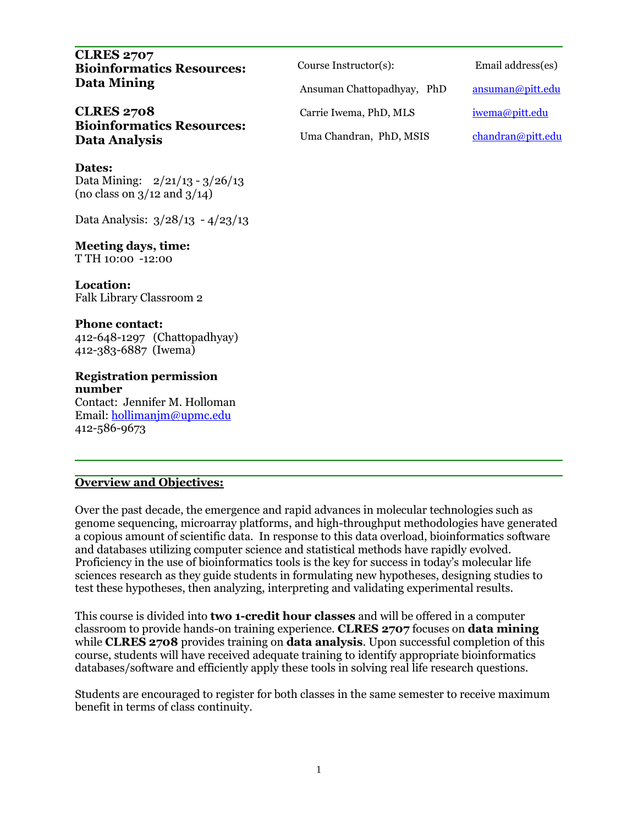| <b>CLRES 2707</b><br><b>Bioinformatics Resources:</b><br><b>Data Mining</b>                                             | Course Instructor(s):<br>Ansuman Chattopadhyay, PhD | Email address(es)<br>ansuman@pitt.edu |
|-------------------------------------------------------------------------------------------------------------------------|-----------------------------------------------------|---------------------------------------|
| <b>CLRES 2708</b><br><b>Bioinformatics Resources:</b><br><b>Data Analysis</b>                                           | Carrie Iwema, PhD, MLS<br>Uma Chandran, PhD, MSIS   | iwema@pitt.edu<br>chandran@pitt.edu   |
| Dates:<br>Data Mining: $2/21/13 - 3/26/13$<br>(no class on $3/12$ and $3/14$ )                                          |                                                     |                                       |
| Data Analysis: $3/28/13 - 4/23/13$                                                                                      |                                                     |                                       |
| Meeting days, time:<br>T TH 10:00 -12:00                                                                                |                                                     |                                       |
| Location:<br>Falk Library Classroom 2                                                                                   |                                                     |                                       |
| <b>Phone contact:</b><br>412-648-1297 (Chattopadhyay)<br>412-383-6887 (Iwema)                                           |                                                     |                                       |
| <b>Registration permission</b><br>number<br>Contact: Jennifer M. Holloman<br>Email: hollimanjm@upmc.edu<br>412-586-9673 |                                                     |                                       |

# **Overview and Objectives:**

Over the past decade, the emergence and rapid advances in molecular technologies such as genome sequencing, microarray platforms, and high-throughput methodologies have generated a copious amount of scientific data. In response to this data overload, bioinformatics software and databases utilizing computer science and statistical methods have rapidly evolved. Proficiency in the use of bioinformatics tools is the key for success in today's molecular life sciences research as they guide students in formulating new hypotheses, designing studies to test these hypotheses, then analyzing, interpreting and validating experimental results.

This course is divided into **two 1-credit hour classes** and will be offered in a computer classroom to provide hands-on training experience. **CLRES 2707** focuses on **data mining** while **CLRES 2708** provides training on **data analysis**. Upon successful completion of this course, students will have received adequate training to identify appropriate bioinformatics databases/software and efficiently apply these tools in solving real life research questions.

Students are encouraged to register for both classes in the same semester to receive maximum benefit in terms of class continuity.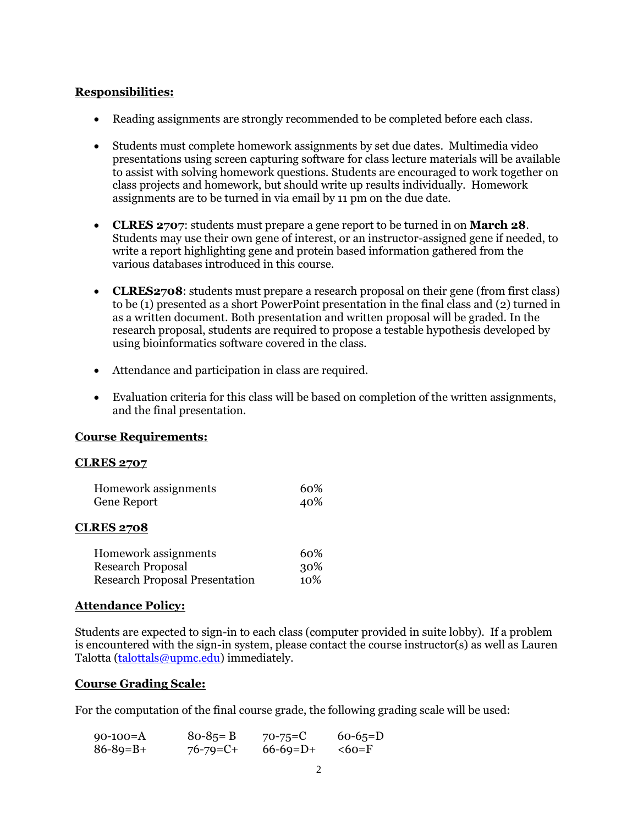# **Responsibilities:**

- Reading assignments are strongly recommended to be completed before each class.
- Students must complete homework assignments by set due dates. Multimedia video presentations using screen capturing software for class lecture materials will be available to assist with solving homework questions. Students are encouraged to work together on class projects and homework, but should write up results individually. Homework assignments are to be turned in via email by 11 pm on the due date.
- **CLRES 2707**: students must prepare a gene report to be turned in on **March 28**. Students may use their own gene of interest, or an instructor-assigned gene if needed, to write a report highlighting gene and protein based information gathered from the various databases introduced in this course.
- **CLRES2708**: students must prepare a research proposal on their gene (from first class) to be (1) presented as a short PowerPoint presentation in the final class and (2) turned in as a written document. Both presentation and written proposal will be graded. In the research proposal, students are required to propose a testable hypothesis developed by using bioinformatics software covered in the class.
- Attendance and participation in class are required.
- Evaluation criteria for this class will be based on completion of the written assignments, and the final presentation.

# **Course Requirements:**

### **CLRES 2707**

| Homework assignments | 60% |
|----------------------|-----|
| Gene Report          | 40% |

### **CLRES 2708**

| Homework assignments                  | 60%  |
|---------------------------------------|------|
| Research Proposal                     | 30%  |
| <b>Research Proposal Presentation</b> | 10\% |

### **Attendance Policy:**

Students are expected to sign-in to each class (computer provided in suite lobby). If a problem is encountered with the sign-in system, please contact the course instructor(s) as well as Lauren Talotta [\(talottals@upmc.edu\)](mailto:talottals@upmc.edu) immediately.

### **Course Grading Scale:**

For the computation of the final course grade, the following grading scale will be used:

| 90-100= $A$     | $80 - 85 = B$ | $70 - 75 = C$ | $60 - 65 = D$ |
|-----------------|---------------|---------------|---------------|
| $86 - 89 = B +$ | 76-79=C+      | $66-69=D+$    | $<60=F$       |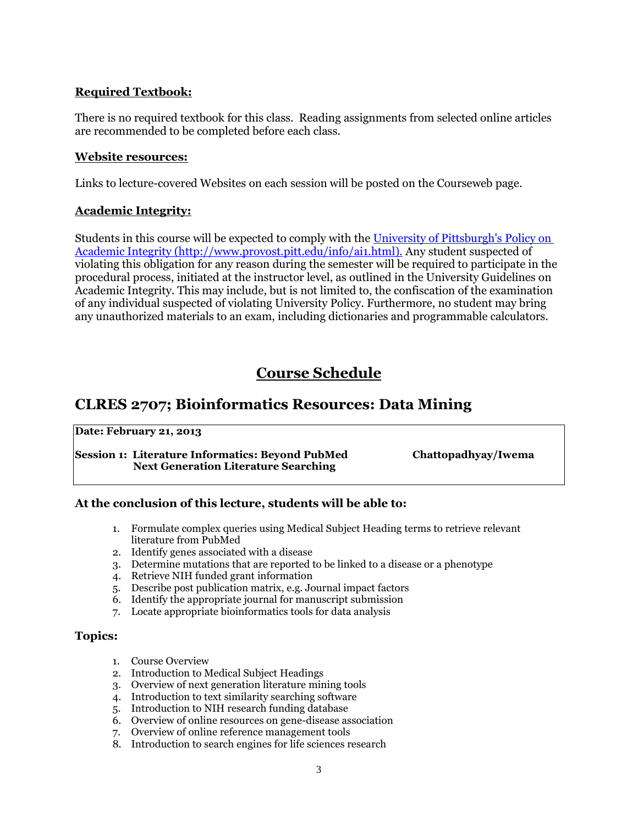# **Required Textbook:**

There is no required textbook for this class. Reading assignments from selected online articles are recommended to be completed before each class.

# **Website resources:**

Links to lecture-covered Websites on each session will be posted on the Courseweb page.

# **Academic Integrity:**

Students in this course will be expected to comply with the University of [Pittsburgh's](file:///C:/Users/techuser/AppData/Local/Fall%202008/University%20of%20Pittsburgh) Policy on Academic Integrity [\(http://www.provost.pitt.edu/info/ai1.html\).](file:///C:/Users/techuser/AppData/Local/Fall%202008/University%20of%20Pittsburgh) Any student suspected of violating this obligation for any reason during the semester will be required to participate in the procedural process, initiated at the instructor level, as outlined in the University Guidelines on Academic Integrity. This may include, but is not limited to, the confiscation of the examination of any individual suspected of violating University Policy. Furthermore, no student may bring any unauthorized materials to an exam, including dictionaries and programmable calculators.

# **Course Schedule**

# **CLRES 2707; Bioinformatics Resources: Data Mining**

### **Date: February 21, 2013**

### **Session 1: Literature Informatics: Beyond PubMed Chattopadhyay/Iwema Next Generation Literature Searching**

# **At the conclusion of this lecture, students will be able to:**

- 1. Formulate complex queries using Medical Subject Heading terms to retrieve relevant literature from PubMed
- 2. Identify genes associated with a disease
- 3. Determine mutations that are reported to be linked to a disease or a phenotype
- 4. Retrieve NIH funded grant information
- 5. Describe post publication matrix, e.g. Journal impact factors
- 6. Identify the appropriate journal for manuscript submission
- 7. Locate appropriate bioinformatics tools for data analysis

# **Topics:**

- 1. Course Overview
- 2. Introduction to Medical Subject Headings
- 3. Overview of next generation literature mining tools
- 4. Introduction to text similarity searching software
- 5. Introduction to NIH research funding database
- 6. Overview of online resources on gene-disease association
- 7. Overview of online reference management tools
- 8. Introduction to search engines for life sciences research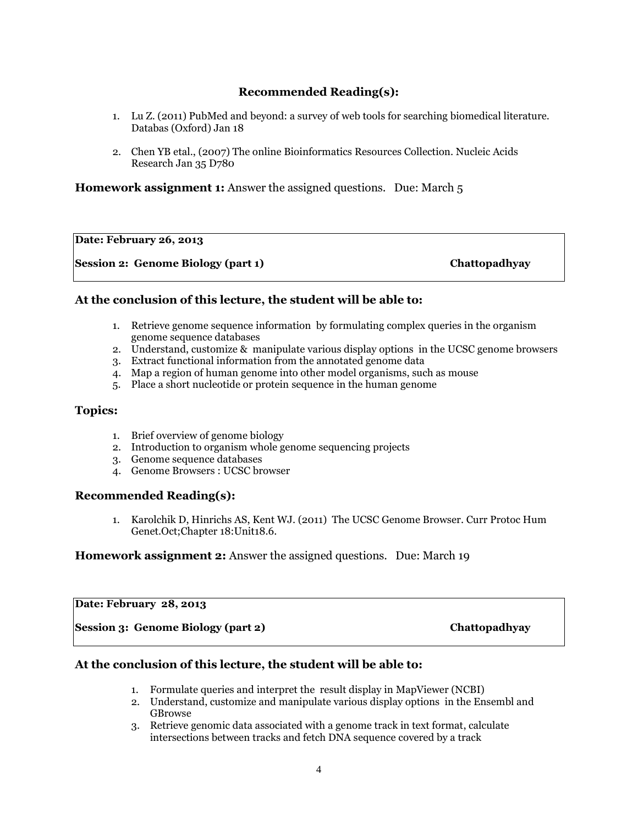# **Recommended Reading(s):**

- 1. Lu Z. (2011) PubMed and beyond: a survey of web tools for searching biomedical literature. Databas (Oxford) Jan 18
- 2. Chen YB etal., (2007) The online Bioinformatics Resources Collection. Nucleic Acids Research Jan 35 D780

# **Homework assignment 1:** Answer the assigned questions. Due: March 5

**Date: February 26, 2013**

**Session 2: Genome Biology (part 1) Chattopadhyay**

# **At the conclusion of this lecture, the student will be able to:**

- 1. Retrieve genome sequence information by formulating complex queries in the organism genome sequence databases
- 2. Understand, customize & manipulate various display options in the UCSC genome browsers
- 3. Extract functional information from the annotated genome data
- 4. Map a region of human genome into other model organisms, such as mouse
- 5. Place a short nucleotide or protein sequence in the human genome

### **Topics:**

- 1. Brief overview of genome biology
- 2. Introduction to organism whole genome sequencing projects
- 3. Genome sequence databases
- 4. Genome Browsers : UCSC browser

### **Recommended Reading(s):**

1. [Karolchik D,](http://www.ncbi.nlm.nih.gov/pubmed?term=%22Karolchik%20D%22%5BAuthor%5D) [Hinrichs AS,](http://www.ncbi.nlm.nih.gov/pubmed?term=%22Hinrichs%20AS%22%5BAuthor%5D) [Kent WJ.](http://www.ncbi.nlm.nih.gov/pubmed?term=%22Kent%20WJ%22%5BAuthor%5D) (2011) The UCSC Genome Browser[. Curr Protoc Hum](http://www.ncbi.nlm.nih.gov/pubmed/21975940)  [Genet.O](http://www.ncbi.nlm.nih.gov/pubmed/21975940)ct;Chapter 18:Unit18.6.

### **Homework assignment 2:** Answer the assigned questions. Due: March 19

# **Date: February 28, 2013**

**Session 3: Genome Biology (part 2) Chattopadhyay**

### **At the conclusion of this lecture, the student will be able to:**

- 1. Formulate queries and interpret the result display in MapViewer (NCBI)
- 2. Understand, customize and manipulate various display options in the Ensembl and GBrowse
- 3. Retrieve genomic data associated with a genome track in text format, calculate intersections between tracks and fetch DNA sequence covered by a track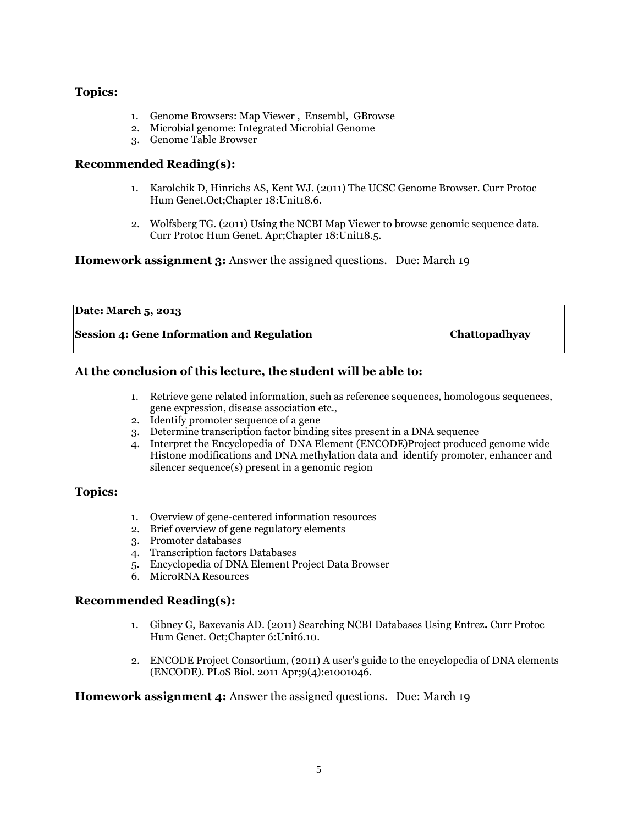# **Topics:**

- 1. Genome Browsers: Map Viewer , Ensembl, GBrowse
- 2. Microbial genome: Integrated Microbial Genome
- 3. Genome Table Browser

# **Recommended Reading(s):**

- 1. [Karolchik D,](http://www.ncbi.nlm.nih.gov/pubmed?term=%22Karolchik%20D%22%5BAuthor%5D) [Hinrichs AS,](http://www.ncbi.nlm.nih.gov/pubmed?term=%22Hinrichs%20AS%22%5BAuthor%5D) [Kent WJ.](http://www.ncbi.nlm.nih.gov/pubmed?term=%22Kent%20WJ%22%5BAuthor%5D) (2011) The UCSC Genome Browser. [Curr Protoc](http://www.ncbi.nlm.nih.gov/pubmed/21975940)  [Hum Genet.O](http://www.ncbi.nlm.nih.gov/pubmed/21975940)ct;Chapter 18:Unit18.6.
- 2. [Wolfsberg TG.](http://www.ncbi.nlm.nih.gov/pubmed?term=%22Wolfsberg%20TG%22%5BAuthor%5D) (2011) Using the NCBI Map Viewer to browse genomic sequence data. [Curr Protoc Hum Genet.](http://www.ncbi.nlm.nih.gov/pubmed/21480181) Apr;Chapter 18:Unit18.5.

# **Homework assignment 3:** Answer the assigned questions. Due: March 19

### **Date: March 5, 2013**

**Session 4: Gene Information and Regulation Chattopadhyay** 

# **At the conclusion of this lecture, the student will be able to:**

- 1. Retrieve gene related information, such as reference sequences, homologous sequences, gene expression, disease association etc.,
- 2. Identify promoter sequence of a gene
- 3. Determine transcription factor binding sites present in a DNA sequence
- 4. Interpret the Encyclopedia of DNA Element (ENCODE)Project produced genome wide Histone modifications and DNA methylation data and identify promoter, enhancer and silencer sequence(s) present in a genomic region

### **Topics:**

- 1. Overview of gene-centered information resources
- 2. Brief overview of gene regulatory elements
- 3. Promoter databases
- 4. Transcription factors Databases
- 5. Encyclopedia of DNA Element Project Data Browser
- 6. MicroRNA Resources

### **Recommended Reading(s):**

- 1. [Gibney G,](http://www.ncbi.nlm.nih.gov/pubmed?term=%22Gibney%20G%22%5BAuthor%5D) [Baxevanis AD.](http://www.ncbi.nlm.nih.gov/pubmed?term=%22Baxevanis%20AD%22%5BAuthor%5D) (2011) Searching NCBI Databases Using Entrez**.** [Curr Protoc](http://www.ncbi.nlm.nih.gov/pubmed/21975942)  [Hum Genet.](http://www.ncbi.nlm.nih.gov/pubmed/21975942) Oct;Chapter 6:Unit6.10.
- 2. ENCODE Project [Consortium,](http://www.ncbi.nlm.nih.gov/pubmed?term=%22ENCODE%20Project%20Consortium%22%5BCorporate%20Author%5D) (2011) A user's guide to the encyclopedia of DNA elements (ENCODE). [PLoS Biol.](http://www.ncbi.nlm.nih.gov/pubmed/21526222) 2011 Apr;9(4):e1001046.

**Homework assignment 4:** Answer the assigned questions. Due: March 19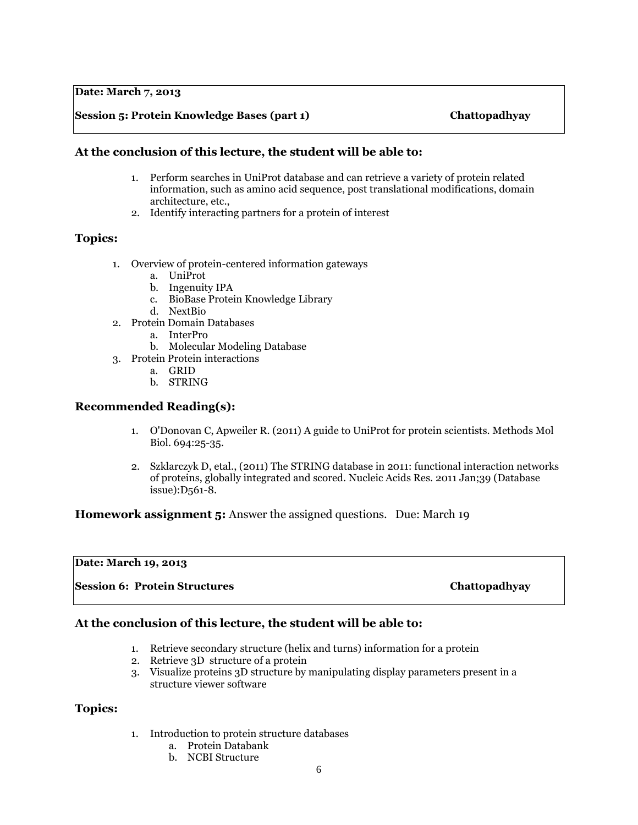**Date: March 7, 2013**

### **Session 5: Protein Knowledge Bases (part 1) Chattopadhyay**

### **At the conclusion of this lecture, the student will be able to:**

- 1. Perform searches in UniProt database and can retrieve a variety of protein related information, such as amino acid sequence, post translational modifications, domain architecture, etc.,
- 2. Identify interacting partners for a protein of interest

# **Topics:**

- 1. Overview of protein-centered information gateways
	- a. UniProt
	- b. Ingenuity IPA
	- c. BioBase Protein Knowledge Library
	- d. NextBio
- 2. Protein Domain Databases
	- a. InterPro
	- b. Molecular Modeling Database
- 3. Protein Protein interactions
	- a. GRID
	- b. STRING

### **Recommended Reading(s):**

- 1. [O'Donovan C,](http://www.ncbi.nlm.nih.gov/pubmed?term=%22O) [Apweiler R.](http://www.ncbi.nlm.nih.gov/pubmed?term=%22Apweiler%20R%22%5BAuthor%5D) (2011) A guide to UniProt for protein scientists[. Methods Mol](http://www.ncbi.nlm.nih.gov/pubmed/21082425)  [Biol.](http://www.ncbi.nlm.nih.gov/pubmed/21082425) 694:25-35.
- 2. [Szklarczyk D,](http://www.ncbi.nlm.nih.gov/pubmed?term=%22Szklarczyk%20D%22%5BAuthor%5D) etal., (2011) The STRING database in 2011: functional interaction networks of proteins, globally integrated and scored. [Nucleic Acids Res.](http://www.ncbi.nlm.nih.gov/pubmed/21045058?dopt=Abstract) 2011 Jan;39 (Database issue):D561-8.

### **Homework assignment 5:** Answer the assigned questions. Due: March 19

### **Date: March 19, 2013**

### **Session 6: Protein Structures Chattopadhyay**

### **At the conclusion of this lecture, the student will be able to:**

- 1. Retrieve secondary structure (helix and turns) information for a protein
- 2. Retrieve 3D structure of a protein
- 3. Visualize proteins 3D structure by manipulating display parameters present in a structure viewer software

### **Topics:**

- 1. Introduction to protein structure databases
	- a. Protein Databank
	- b. NCBI Structure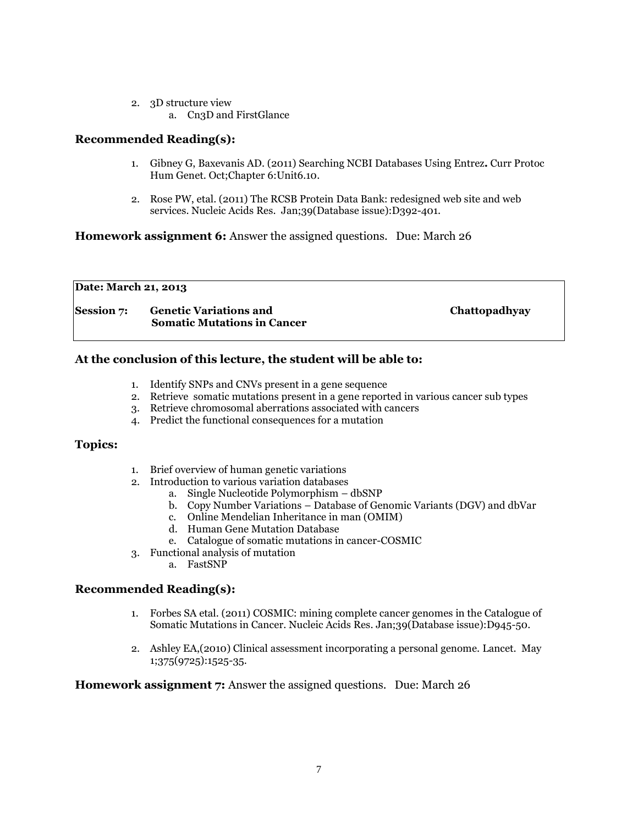2. 3D structure view a. Cn3D and FirstGlance

### **Recommended Reading(s):**

- 1. [Gibney G,](http://www.ncbi.nlm.nih.gov/pubmed?term=%22Gibney%20G%22%5BAuthor%5D) [Baxevanis AD.](http://www.ncbi.nlm.nih.gov/pubmed?term=%22Baxevanis%20AD%22%5BAuthor%5D) (2011) Searching NCBI Databases Using Entrez**.** [Curr Protoc](http://www.ncbi.nlm.nih.gov/pubmed/21975942)  [Hum Genet.](http://www.ncbi.nlm.nih.gov/pubmed/21975942) Oct;Chapter 6:Unit6.10.
- 2. [Rose PW,](http://www.ncbi.nlm.nih.gov/pubmed?term=%22Rose%20PW%22%5BAuthor%5D) etal. (2011) The RCSB Protein Data Bank: redesigned web site and web services. [Nucleic Acids Res.](http://www.ncbi.nlm.nih.gov/pubmed/21036868) Jan;39(Database issue):D392-401.

**Homework assignment 6:** Answer the assigned questions. Due: March 26

### **Date: March 21, 2013**

**Session 7: Genetic Variations and Chattopadhyay Somatic Mutations in Cancer**

# **At the conclusion of this lecture, the student will be able to:**

- 1. Identify SNPs and CNVs present in a gene sequence
- 2. Retrieve somatic mutations present in a gene reported in various cancer sub types
- 3. Retrieve chromosomal aberrations associated with cancers
- 4. Predict the functional consequences for a mutation

### **Topics:**

- 1. Brief overview of human genetic variations
- 2. Introduction to various variation databases
	- a. Single Nucleotide Polymorphism dbSNP
		- b. Copy Number Variations Database of Genomic Variants (DGV) and dbVar
	- c. Online Mendelian Inheritance in man (OMIM)
	- d. Human Gene Mutation Database
	- e. Catalogue of somatic mutations in cancer-COSMIC
- 3. Functional analysis of mutation
	- a. FastSNP

### **Recommended Reading(s):**

- 1. [Forbes SA](http://www.ncbi.nlm.nih.gov/pubmed?term=%22Forbes%20SA%22%5BAuthor%5D) etal. (2011) COSMIC: mining complete cancer genomes in the Catalogue of Somatic Mutations in Cancer. [Nucleic Acids Res.](http://www.ncbi.nlm.nih.gov/pubmed/20952405) Jan;39(Database issue):D945-50.
- 2. [Ashley EA,](http://www.ncbi.nlm.nih.gov/pubmed?term=%22Ashley%20EA%22%5BAuthor%5D)(2010) Clinical assessment incorporating a personal genome. [Lancet.](http://www.ncbi.nlm.nih.gov/pubmed/20435227) May 1;375(9725):1525-35.

**Homework assignment 7:** Answer the assigned questions. Due: March 26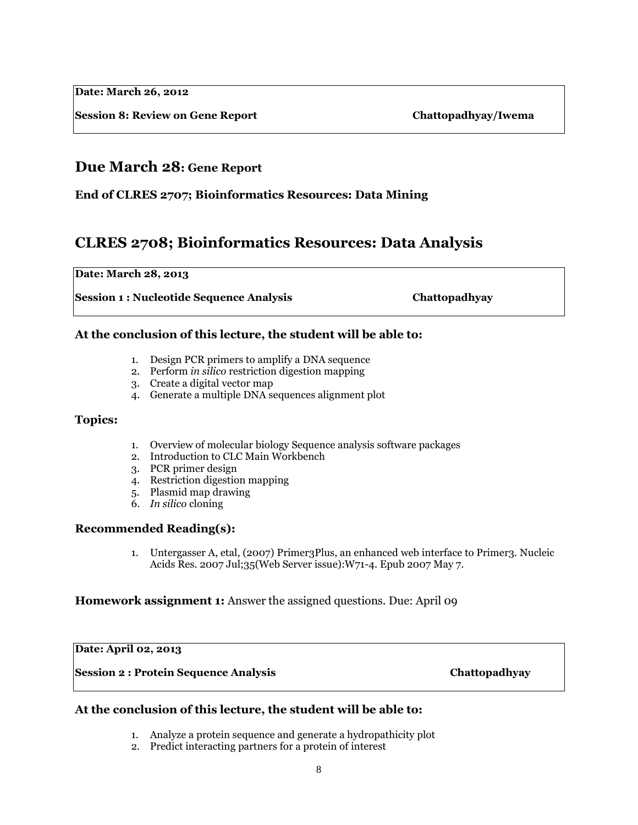**Date: March 26, 2012**

**Session 8: Review on Gene Report Chattopadhyay/Iwema** 

# **Due March 28: Gene Report**

**End of CLRES 2707; Bioinformatics Resources: Data Mining**

# **CLRES 2708; Bioinformatics Resources: Data Analysis**

### **Date: March 28, 2013**

**Session 1 : Nucleotide Sequence Analysis Chattopadhyay**

### **At the conclusion of this lecture, the student will be able to:**

- 1. Design PCR primers to amplify a DNA sequence
- 2. Perform *in silico* restriction digestion mapping
- 3. Create a digital vector map
- 4. Generate a multiple DNA sequences alignment plot

### **Topics:**

- 1. Overview of molecular biology Sequence analysis software packages
- 2. Introduction to CLC Main Workbench
- 3. PCR primer design
- 4. Restriction digestion mapping
- 5. Plasmid map drawing
- 6. *In silico* cloning

### **Recommended Reading(s):**

1. Untergasser A, etal, (2007) Primer3Plus, an enhanced web interface to Primer3. [Nucleic](http://www.ncbi.nlm.nih.gov/pubmed/17485472)  [Acids Res.](http://www.ncbi.nlm.nih.gov/pubmed/17485472) 2007 Jul;35(Web Server issue):W71-4. Epub 2007 May 7.

### **Homework assignment 1:** Answer the assigned questions. Due: April 09

### **Date: April 02, 2013**

**Session 2 : Protein Sequence Analysis Chattopadhyay**

### **At the conclusion of this lecture, the student will be able to:**

- 1. Analyze a protein sequence and generate a hydropathicity plot
- 2. Predict interacting partners for a protein of interest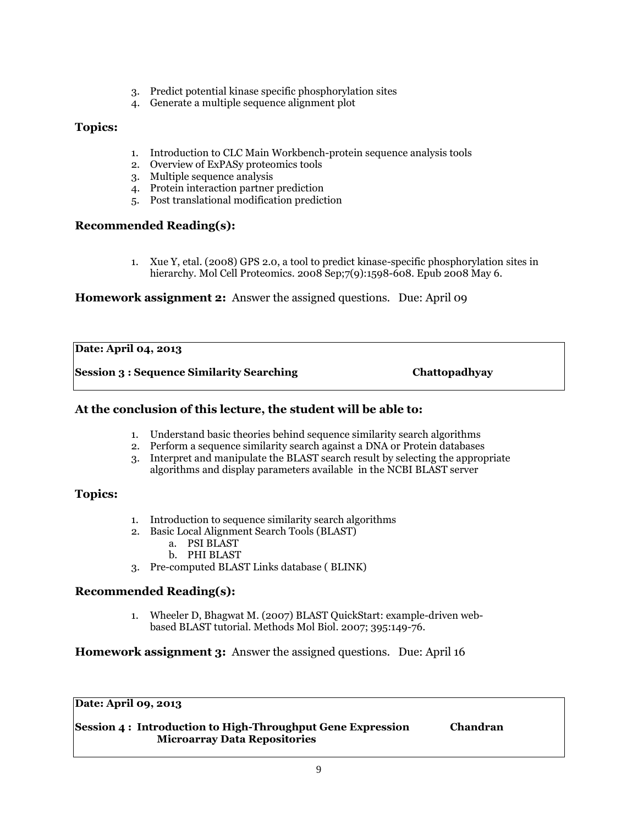- 3. Predict potential kinase specific phosphorylation sites
- 4. Generate a multiple sequence alignment plot

# **Topics:**

- 1. Introduction to CLC Main Workbench-protein sequence analysis tools
- 2. Overview of ExPASy proteomics tools
- 3. Multiple sequence analysis
- 4. Protein interaction partner prediction
- 5. Post translational modification prediction

# **Recommended Reading(s):**

1. [Xue Y,](http://www.ncbi.nlm.nih.gov/pubmed?term=%22Xue%20Y%22%5BAuthor%5D) etal. (2008) GPS 2.0, a tool to predict kinase-specific phosphorylation sites in hierarchy. [Mol Cell Proteomics.](http://www.ncbi.nlm.nih.gov/pubmed/18463090) 2008 Sep;7(9):1598-608. Epub 2008 May 6.

# **Homework assignment 2:** Answer the assigned questions. Due: April 09

# **Date: April 04, 2013**

**Session 3 : Sequence Similarity Searching Chattopadhyay**

# **At the conclusion of this lecture, the student will be able to:**

- 1. Understand basic theories behind sequence similarity search algorithms
- 2. Perform a sequence similarity search against a DNA or Protein databases
- 3. Interpret and manipulate the BLAST search result by selecting the appropriate algorithms and display parameters available in the NCBI BLAST server

# **Topics:**

- 1. Introduction to sequence similarity search algorithms
- 2. Basic Local Alignment Search Tools (BLAST) a. PSI BLAST
	- b. PHI BLAST
- 3. Pre-computed BLAST Links database ( BLINK)

# **Recommended Reading(s):**

1. [Wheeler D,](http://www.ncbi.nlm.nih.gov/pubmed?term=%22Wheeler%20D%22%5BAuthor%5D) [Bhagwat M.](http://www.ncbi.nlm.nih.gov/pubmed?term=%22Bhagwat%20M%22%5BAuthor%5D) (2007) BLAST QuickStart: example-driven webbased BLAST tutorial[. Methods Mol Biol.](http://www.ncbi.nlm.nih.gov/pubmed/17993672) 2007; 395:149-76.

# **Homework assignment 3:** Answer the assigned questions. Due: April 16

### **Date: April 09, 2013**

**Session 4 : Introduction to High-Throughput Gene Expression Chandran Microarray Data Repositories**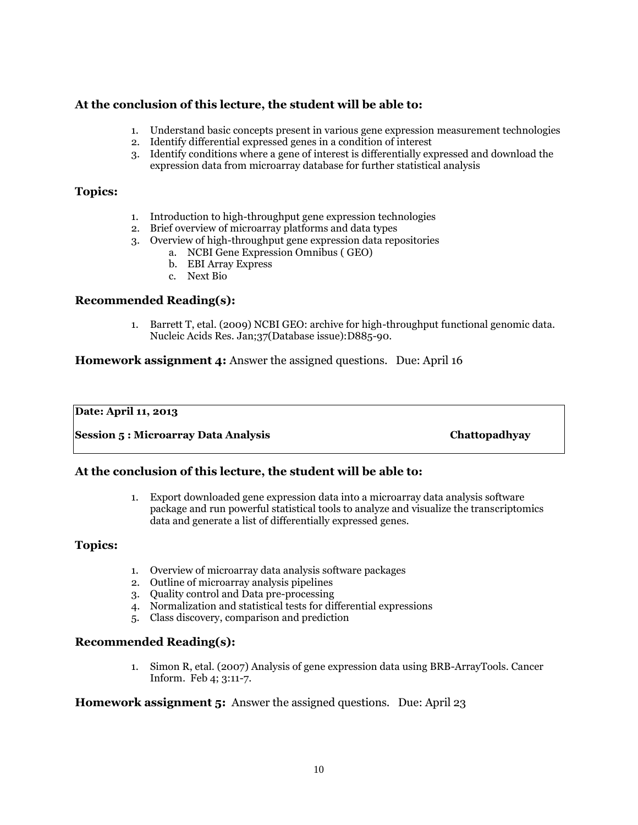# **At the conclusion of this lecture, the student will be able to:**

- 1. Understand basic concepts present in various gene expression measurement technologies
- 2. Identify differential expressed genes in a condition of interest
- 3. Identify conditions where a gene of interest is differentially expressed and download the expression data from microarray database for further statistical analysis

### **Topics:**

- 1. Introduction to high-throughput gene expression technologies
- 2. Brief overview of microarray platforms and data types
- 3. Overview of high-throughput gene expression data repositories
	- a. NCBI Gene Expression Omnibus ( GEO)
	- b. EBI Array Express
	- c. Next Bio

# **Recommended Reading(s):**

1. [Barrett T,](http://www.ncbi.nlm.nih.gov/pubmed?term=%22Barrett%20T%22%5BAuthor%5D) etal. (2009) NCBI GEO: archive for high-throughput functional genomic data. [Nucleic Acids Res.](http://www.ncbi.nlm.nih.gov/pubmed/18940857) Jan;37(Database issue):D885-90.

### **Homework assignment 4:** Answer the assigned questions. Due: April 16

### **Date: April 11, 2013**

### **Session 5 : Microarray Data Analysis Chattopadhyay**

# **At the conclusion of this lecture, the student will be able to:**

1. Export downloaded gene expression data into a microarray data analysis software package and run powerful statistical tools to analyze and visualize the transcriptomics data and generate a list of differentially expressed genes.

### **Topics:**

- 1. Overview of microarray data analysis software packages
- 2. Outline of microarray analysis pipelines
- 3. Quality control and Data pre-processing
- 4. Normalization and statistical tests for differential expressions
- 5. Class discovery, comparison and prediction

### **Recommended Reading(s):**

1. [Simon R,](http://www.ncbi.nlm.nih.gov/pubmed?term=%22Simon%20R%22%5BAuthor%5D) etal. (2007) Analysis of gene expression data using BRB-ArrayTools[. Cancer](http://www.ncbi.nlm.nih.gov/pubmed?term=%20PMC2675854)  [Inform.](http://www.ncbi.nlm.nih.gov/pubmed?term=%20PMC2675854) Feb 4; 3:11-7.

**Homework assignment 5:** Answer the assigned questions. Due: April 23